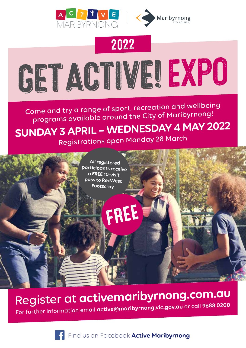



# 2022



Come and try a range of sport, recreation and wellbeing programs available around the City of Maribyrnong! **SUNDAY 3 APRIL – WEDNESDAY 4 MAY 2022** 



Register at **activemaribyrnong.com.au** For further information email **active@maribyrnong.vic.gov.au** or call **9688 0200**

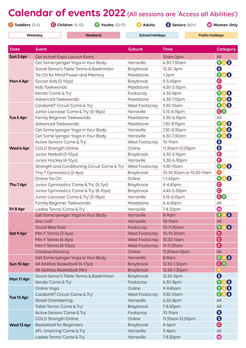## **Calendar of events 2022** (All sessions are 'Access all Abilities') **Toddlers** (2-5) **Children** (5-12) **Youths** (12-17) **Adults Seniors** (60+) **Women Only**

**Weekday Weekend School Holidays Public Holidays**

| <b>Date</b>              | <b>Event</b>                                   | <b>Suburb</b>         | <b>Time</b>              | <b>Category</b>             |
|--------------------------|------------------------------------------------|-----------------------|--------------------------|-----------------------------|
| Sun 3 Apr                | Get Active! Expo Launch Event                  |                       | 10am-2pm                 | All                         |
| Mon 4 Apr                | Get Some Iyengar Yoga in Your Body             | Yarraville            | 6.30-7.30am              | <b>YA</b><br>8              |
|                          | Social Senior's Table Tennis & Badminton       | Braybrook             | 12.30-3pm                | $\boldsymbol{\Theta}$       |
|                          | Tai Chi for Mind Power and Memory              | Maidstone             | $1-2pm$                  | $\mathbf 0$<br>8            |
|                          | Soccer Kids (5-10yo)                           | Braybrook             | 5-5.45pm                 | $\boldsymbol{\Theta}$       |
|                          | Kids Taekwondo                                 | Maidstone             | 4.30-5.15pm              | $\boldsymbol{\Theta}$       |
|                          | Kendo 'Come & Try'                             | Footscray             | 6.30-8pm                 | Ø<br>6                      |
|                          | Advanced Taekwondo                             | Maidstone             | 6.30-7.15pm              | 8<br>Ø                      |
| Tue 5 Apr                | CardioHIIT Circuit 'Come & Try'                | West Footscray        | 9.30-10am                | 8<br><b>YA</b>              |
|                          | Junior Lacrosse 'Come & Try' (5-18yo)          | Yarraville            | 5.15-6.15pm              | 80                          |
|                          | Family Beginner Taekwondo                      | Maidstone             | 5.30-6.15pm              | All                         |
|                          | Advanced Taekwondo                             | Maidstone             | 7.30-8.15pm              | Ø<br>8                      |
|                          | Get Some Iyengar Yoga in Your Body             | Yarraville            | 7.30-8.30pm              | 8<br>Ø                      |
| Wed 6 Apr                | Get Some Iyengar Yoga in Your Body             | Yarraville            | 6.30-7.30am              | $\mathbf \Omega$<br>8       |
|                          | Active Seniors 'Come & Try'                    | West Footscray        | 10-11 am                 | $\mathbf{\Theta}$           |
|                          | <b>GOLD Strength Online</b>                    | Online                | 11.30 am-12.05 pm        | $\bullet$                   |
|                          | Junior Netball (5-10yo)                        | Braybrook             | 4.30-5.15pm              | $\boldsymbol{\Theta}$       |
|                          | Junior Hockey (4-12yo)                         | Yarraville            | 5.30-6.30pm              | $\boldsymbol{\Theta}$       |
|                          | Strength and Conditioning Circuit 'Come & Try' | West Footscray        | 9.30-10am                | $\mathbf{O}$<br>8           |
|                          | Tiny T Gymnastics (2-4yo)                      | Braybrook             | 10-10.30am or 10.30-11am | O                           |
|                          | Online Tai Chi                                 | Online                | 1-1.45pm                 | $\bullet$<br>8              |
| Thu 7 Apr                | Junior Gymnastics 'Come & Try' (5-7yo)         | Braybrook             | 4-4.45pm                 | $\boldsymbol{\Theta}$       |
|                          | Junior Gymnastics 'Come & Try' (8-10yo)        | Braybrook             | 4.45-5.30pm              | $\boldsymbol{\Theta}$       |
|                          | Junior Lacrosse 'Come & Try' (5-18yo)          | Yarraville            | 5.15-6.15pm              | 80                          |
|                          | Family Beginner Taekwondo                      | Maidstone             | 6-6.45pm                 | All                         |
| Fri 8 Apr                | Ladies Tennis 'Come & Try'                     | Yarraville            | 7-8.30pm                 | $\boldsymbol{\omega}$       |
|                          | Get Some Iyengar Yoga in Your Body             | Yarraville            | 8-9am                    | $\mathbf \Omega$<br>S       |
| Sat 9 Apr                | <b>Disc Golf</b>                               | Yarraville            | 10-11 am                 | All                         |
|                          | <b>Social Bike Ride</b>                        | Footscray             | 10-11.30am               | $\mathbf 0$<br>6            |
|                          | Min-Y Tennis (3-6yo)                           | <b>West Footscray</b> | 10-10.30am               | $\boldsymbol{\Theta}$       |
|                          | Min-Y Tennis (6-8yo)                           | <b>West Footscray</b> | 10.30-11am               | $\boldsymbol{\Theta}$       |
|                          | Min-Y Tennis (8-10yo)                          | <b>West Footscray</b> | 11-11.30am               | $\boldsymbol{\Theta}$       |
|                          | <b>Creative Dancing</b>                        | Online                | 11.30 am-12 pm           | All                         |
| Sun 10 Apr               | Get Some Iyengar Yoga in Your Body             | Yarraville            | 8-9am                    | O<br>A <sub>S</sub>         |
|                          | All Abilities Basketball (6-17yo)              | <b>Braybrook</b>      | 12.30-1.30pm             | <b>GV</b>                   |
|                          | All Abilities Basketball (18+)                 | <b>Braybrook</b>      | 12.30-1.30pm             | $\left  \mathbf{A} \right $ |
| Mon 11 Apr               | Social Senior's Table Tennis & Badminton       | Braybrook             | 12.30-3pm                | $\boldsymbol{\Theta}$       |
|                          | Kendo 'Come & Try'                             | Footscray             | 6.30-8pm                 | <b>Y)</b><br>S              |
| Tue 12 Apr<br>Wed 13 Apr | Online Yoga                                    | Online                | 9-9.45 am                | A S<br>$(\mathbf{Y})$       |
|                          | CardioHIIT Circuit 'Come & Try'                | <b>West Footscray</b> | 9.30-10am                | 8<br>$\bf{V}$               |
|                          | <b>Street Orienteering</b>                     | Yarraville            | 6.30-8pm                 | All                         |
|                          | Table Tennis 'Come & Try'                      | Braybrook             | 7-8.30pm                 | All                         |
|                          | Active Seniors 'Come & Try'                    | Footscray             | 10-11 am                 | $\boldsymbol{\Theta}$       |
|                          | <b>GOLD Strength Online</b>                    | Online                | 11.30 am-12.05 pm        | $\boldsymbol{\Theta}$       |
|                          | <b>Basketball for Beginners</b>                | Braybrook             | $4-5$ pm                 | $\boldsymbol{\Theta}$       |
|                          | AFL Umpiring 'Come & Try'                      | Yarraville            | $3-4$ pm                 | All                         |
|                          | Ladies Tennis 'Come & Try'                     | Yarraville            | 7-8.30pm                 | $\boldsymbol{\Phi}$         |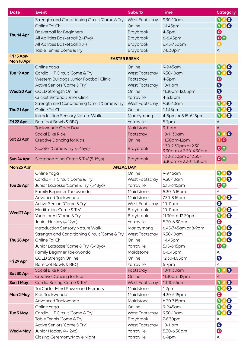| <b>Date</b>               | <b>Event</b>                                    | <b>Suburb</b>         | <b>Time</b>                                   | <b>Category</b>         |
|---------------------------|-------------------------------------------------|-----------------------|-----------------------------------------------|-------------------------|
| Thu 14 Apr                | Strength and Conditioning Circuit 'Come & Try'  | <b>West Footscray</b> | 9.30-10am                                     | <b>VAS</b>              |
|                           | Online Tai Chi                                  | Online                | 1-1.45pm                                      | <b>TAS</b>              |
|                           | <b>Basketball for Beginners</b>                 | Braybrook             | $4-5$ pm                                      | $\boldsymbol{\Theta}$   |
|                           | All Abilities Basketball (6-17yo)               | Braybrook             | 6-6.45pm                                      | 80                      |
|                           | All Abilities Basketball (18+)                  | Braybrook             | 6.45-7.30pm                                   | $\boldsymbol{\Omega}$   |
|                           | Table Tennis 'Come & Try'                       | Braybrook             | 7-8.30pm                                      | All                     |
| Fri 15 Apr-<br>Mon 18 Apr | <b>EASTER BREAK</b>                             |                       |                                               |                         |
|                           | Online Yoga                                     | Online                | 9-9.45 am                                     | <b>YA</b><br>8          |
| Tue 19 Apr                | CardioHIIT Circuit 'Come & Try'                 | West Footscray        | 9.30-10am                                     | 8<br><b>YA</b>          |
|                           | Western Bulldogs Junior Football Clinic         | Footscray             | $4-5$ pm                                      | $\boldsymbol{\Theta}$   |
| Wed 20 Apr                | Active Seniors 'Come & Try'                     | West Footscray        | 10-11am                                       | $\boldsymbol{\Theta}$   |
|                           | <b>GOLD Strength Online</b>                     | Online                | 11.30 am-12.05 pm                             | $\boldsymbol{\Theta}$   |
|                           | Cricket Victoria Junior Clinic                  | Yarraville            | 4-5.15pm                                      | $\boldsymbol{\Theta}$   |
|                           | Strength and Conditioning Circuit 'Come & Try'  | <b>West Footscray</b> | 9.30-10am                                     | $\mathbf 0$<br>8        |
| Thu 21 Apr                | Online Tai Chi                                  | Online                | 1-1.45pm                                      | <b>VAS</b>              |
|                           | <b>Introduction Sensory Nature Walk</b>         | Maribyrnong           | 4-5pm or 5.15-6.15pm                          | <b>VAS</b>              |
| Fri 22 Apr                | Barefoot Bowls & BBQ                            | Yarraville            | 5-7pm                                         | All                     |
|                           | Taekwondo Open Day                              | Maidstone             | $9-11$ am                                     | All                     |
|                           | <b>Social Bike Ride</b>                         | Footscray             | 10-11.30am                                    | YAS                     |
| Sat 23 Apr                | <b>Creative Dancing for Kids</b>                | Online                | 11.30 am-12 pm                                | 00                      |
|                           | Scooter 'Come & Try' (5-15yo)                   | <b>Braybrook</b>      | 1.30-2.30pm or 2.30-<br>3.30pm or 3.30-4.30pm | CV                      |
| Sun 24 Apr                | Skateboarding 'Come & Try' (5-15yo)             | <b>Braybrook</b>      | 1.30-2.30pm or 2.30-<br>3.30pm or 3.30-4.30pm | CV                      |
| Mon 25 Apr                | <b>ANZAC DAY</b>                                |                       |                                               |                         |
| Tue 26 Apr                | Online Yoga                                     | Online                | 9-9.45 am                                     | <b>VAS</b>              |
|                           | CardioHIIT Circuit 'Come & Try'                 | West Footscray        | 9.30-10am                                     | <b>TAS</b>              |
|                           | Junior Lacrosse 'Come & Try' (5-18yo)           | Yarraville            | 5.15-6.15pm                                   | 80                      |
|                           | Family Beginner Taekwondo                       | Maidstone             | 5.30-6.15pm                                   | All                     |
|                           | Advanced Taekwondo                              | Maidstone             | 7.30-8.15pm                                   | <b>VAS</b>              |
|                           | Active Seniors 'Come & Try'                     | West Footscray        | 10-11am                                       | $\bullet$               |
| Wed 27 Apr                | Meditation 'Come & Try'                         | Braybrook             | 10-11am                                       | <b>YA</b><br>S          |
|                           | Yoga for All 'Come & Try'                       | Braybrook             | 11.30 am-12.30 pm                             | <b>VAS</b>              |
|                           | Junior Hockey (4-12yo)                          | Yarraville            | 5.30-6.30pm                                   | $\boldsymbol{\Theta}$   |
|                           | <b>Introduction Sensory Nature Walk</b>         | Maribyrnong           | 6.45-7.45am or 8-9am                          | <b>VAS</b>              |
|                           | Strength and Conditioning Circuit 'Come & Try'  | West Footscray        | 9.30-10am                                     | <b>VAS</b>              |
| Thu 28 Apr                | Online Tai Chi                                  | Online                | 1-1.45pm                                      | <b>006</b>              |
|                           | Junior Lacrosse 'Come & Try' (5-18yo)           | Yarraville            | 5.15-6.15pm                                   | <b>GO</b>               |
|                           | Family Beginner Taekwondo                       | Maidstone             | 6-6.45pm                                      | All                     |
| Fri 29 Apr                | <b>GOLD Strength Online</b>                     | Online                | 12.30-1.05pm                                  | $\bullet$               |
|                           | Barefoot Bowls & BBQ<br><b>Social Bike Ride</b> | Yarraville            | 5-7pm<br>10-11.30am                           | All<br>$\mathbf 0$<br>8 |
| Sat 30 Apr                | <b>Creative Dancing for Kids</b>                | Footscray<br>Online   | 11.30 am-12 pm                                | All                     |
|                           | Cardio Boxing 'Come & Try'                      | <b>West Footscray</b> | 10-10.55am                                    | <b>TA</b><br>8          |
| Sun 1 May                 | Tai Chi for Mind Power and Memory               | Maidstone             | $1-2pm$                                       | <b>006</b>              |
| Mon 2 May                 | Kids Taekwondo                                  | Maidstone             | 4.30-5.15pm                                   | $\boldsymbol{\Theta}$   |
|                           | Advanced Taekwondo                              | Maidstone             | 6.30-7.15pm                                   | <b>YA</b><br>S          |
| Tue 3 May                 | Online Yoga                                     | Online                | 9-9.45 am                                     | <b>VAS</b>              |
|                           | CardioHIIT Circuit 'Come & Try'                 | West Footscray        | 9.30-10am                                     | <b>VAS</b>              |
|                           | Table Tennis 'Come & Try'                       | Braybrook             | 7-8.30pm                                      | All                     |
| Wed 4 May                 | Active Seniors 'Come & Try'                     | West Footscray        | 10-11am                                       | $\bullet$               |
|                           | Junior Hockey (4-12yo)                          | Yarraville            | 5.30-6.30pm                                   | $\boldsymbol{\Theta}$   |
|                           | Closing Ceremony/Movie Night                    | Yarraville            | 6-9pm                                         | All                     |